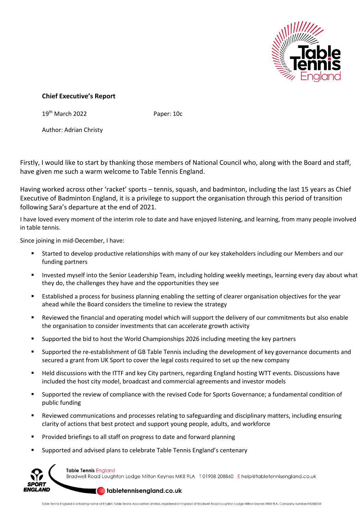

## **Chief Executive's Report**

19<sup>th</sup> March 2022 **Paper: 10c** 

Author: Adrian Christy

Firstly, I would like to start by thanking those members of National Council who, along with the Board and staff, have given me such a warm welcome to Table Tennis England.

Having worked across other 'racket' sports – tennis, squash, and badminton, including the last 15 years as Chief Executive of Badminton England, it is a privilege to support the organisation through this period of transition following Sara's departure at the end of 2021.

I have loved every moment of the interim role to date and have enjoyed listening, and learning, from many people involved in table tennis.

Since joining in mid-December, I have:

- Started to develop productive relationships with many of our key stakeholders including our Members and our funding partners
- Invested myself into the Senior Leadership Team, including holding weekly meetings, learning every day about what they do, the challenges they have and the opportunities they see
- Established a process for business planning enabling the setting of clearer organisation objectives for the year ahead while the Board considers the timeline to review the strategy
- Reviewed the financial and operating model which will support the delivery of our commitments but also enable the organisation to consider investments that can accelerate growth activity
- Supported the bid to host the World Championships 2026 including meeting the key partners
- Supported the re-establishment of GB Table Tennis including the development of key governance documents and secured a grant from UK Sport to cover the legal costs required to set up the new company
- Held discussions with the ITTF and key City partners, regarding England hosting WTT events. Discussions have included the host city model, broadcast and commercial agreements and investor models
- Supported the review of compliance with the revised Code for Sports Governance; a fundamental condition of public funding
- Reviewed communications and processes relating to safeguarding and disciplinary matters, including ensuring clarity of actions that best protect and support young people, adults, and workforce
- Provided briefings to all staff on progress to date and forward planning
- Supported and advised plans to celebrate Table Tennis England's centenary



**Table Tennis England** Bradwell Road Loughton Lodge Milton Keynes MK8 9LA T01908 208860 E help@tabletennisengland.co.uk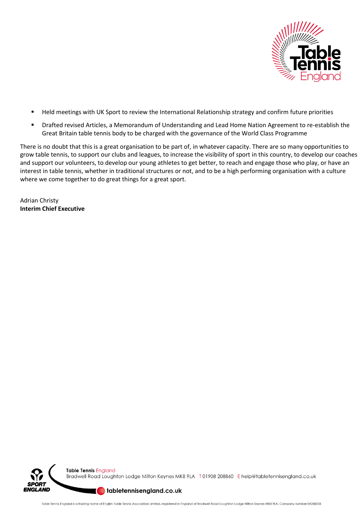

- Held meetings with UK Sport to review the International Relationship strategy and confirm future priorities
- Drafted revised Articles, a Memorandum of Understanding and Lead Home Nation Agreement to re-establish the Great Britain table tennis body to be charged with the governance of the World Class Programme

There is no doubt that this is a great organisation to be part of, in whatever capacity. There are so many opportunities to grow table tennis, to support our clubs and leagues, to increase the visibility of sport in this country, to develop our coaches and support our volunteers, to develop our young athletes to get better, to reach and engage those who play, or have an interest in table tennis, whether in traditional structures or not, and to be a high performing organisation with a culture where we come together to do great things for a great sport.

Adrian Christy **Interim Chief Executive**



Bradwell Road Loughton Lodge Milton Keynes MK8 9LA T01908 208860 Ehelp@tabletennisengland.co.uk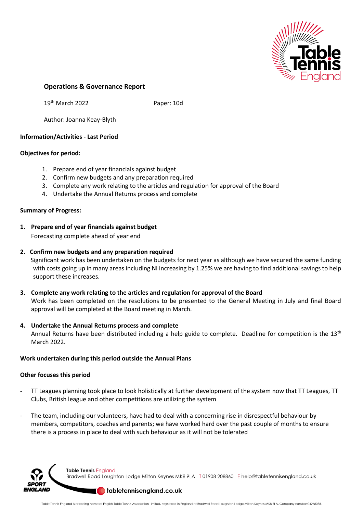

### **Operations & Governance Report**

19th March 2022 Paper: 10d

Author: Joanna Keay-Blyth

### **Information/Activities - Last Period**

#### **Objectives for period:**

- 1. Prepare end of year financials against budget
- 2. Confirm new budgets and any preparation required
- 3. Complete any work relating to the articles and regulation for approval of the Board
- 4. Undertake the Annual Returns process and complete

#### **Summary of Progress:**

**1. Prepare end of year financials against budget** 

Forecasting complete ahead of year end

#### **2. Confirm new budgets and any preparation required**

 Significant work has been undertaken on the budgets for next year as although we have secured the same funding with costs going up in many areas including NI increasing by 1.25% we are having to find additional savings to help support these increases.

- **3. Complete any work relating to the articles and regulation for approval of the Board**  Work has been completed on the resolutions to be presented to the General Meeting in July and final Board approval will be completed at the Board meeting in March.
- **4. Undertake the Annual Returns process and complete**  Annual Returns have been distributed including a help guide to complete. Deadline for competition is the 13<sup>th</sup> March 2022.

#### **Work undertaken during this period outside the Annual Plans**

#### **Other focuses this period**

- TT Leagues planning took place to look holistically at further development of the system now that TT Leagues, TT Clubs, British league and other competitions are utilizing the system
- The team, including our volunteers, have had to deal with a concerning rise in disrespectful behaviour by members, competitors, coaches and parents; we have worked hard over the past couple of months to ensure there is a process in place to deal with such behaviour as it will not be tolerated



Table Tennis England Bradwell Road Loughton Lodge Milton Keynes MK8 9LA T01908 208860 Ehelp@tabletennisengland.co.uk

#### determisengland.co.uk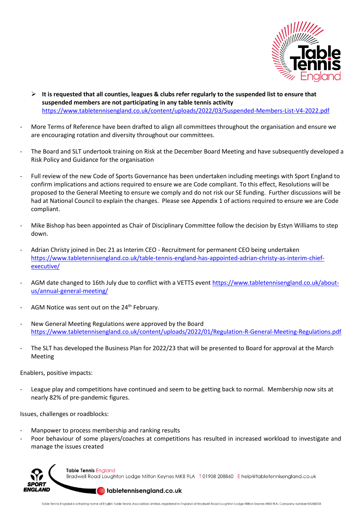

- ➢ **It is requested that all counties, leagues & clubs refer regularly to the suspended list to ensure that suspended members are not participating in any table tennis activity** <https://www.tabletennisengland.co.uk/content/uploads/2022/03/Suspended-Members-List-V4-2022.pdf>
- More Terms of Reference have been drafted to align all committees throughout the organisation and ensure we are encouraging rotation and diversity throughout our committees.
- The Board and SLT undertook training on Risk at the December Board Meeting and have subsequently developed a Risk Policy and Guidance for the organisation
- Full review of the new Code of Sports Governance has been undertaken including meetings with Sport England to confirm implications and actions required to ensure we are Code compliant. To this effect, Resolutions will be proposed to the General Meeting to ensure we comply and do not risk our SE funding. Further discussions will be had at National Council to explain the changes. Please see Appendix 1 of actions required to ensure we are Code compliant.
- Mike Bishop has been appointed as Chair of Disciplinary Committee follow the decision by Estyn Williams to step down.
- Adrian Christy joined in Dec 21 as Interim CEO Recruitment for permanent CEO being undertaken [https://www.tabletennisengland.co.uk/table-tennis-england-has-appointed-adrian-christy-as-interim-chief](https://www.tabletennisengland.co.uk/table-tennis-england-has-appointed-adrian-christy-as-interim-chief-executive/)[executive/](https://www.tabletennisengland.co.uk/table-tennis-england-has-appointed-adrian-christy-as-interim-chief-executive/)
- AGM date changed to 16th July due to conflict with a VETTS event [https://www.tabletennisengland.co.uk/about](https://www.tabletennisengland.co.uk/about-us/annual-general-meeting/)[us/annual-general-meeting/](https://www.tabletennisengland.co.uk/about-us/annual-general-meeting/)
- AGM Notice was sent out on the 24<sup>th</sup> February.
- New General Meeting Regulations were approved by the Board <https://www.tabletennisengland.co.uk/content/uploads/2022/01/Regulation-R-General-Meeting-Regulations.pdf>
- The SLT has developed the Business Plan for 2022/23 that will be presented to Board for approval at the March Meeting

Enablers, positive impacts:

League play and competitions have continued and seem to be getting back to normal. Membership now sits at nearly 82% of pre-pandemic figures.

Issues, challenges or roadblocks:

- Manpower to process membership and ranking results
- Poor behaviour of some players/coaches at competitions has resulted in increased workload to investigate and manage the issues created



Bradwell Road Loughton Lodge Milton Keynes MK8 9LA T01908 208860 Ehelp@tabletennisengland.co.uk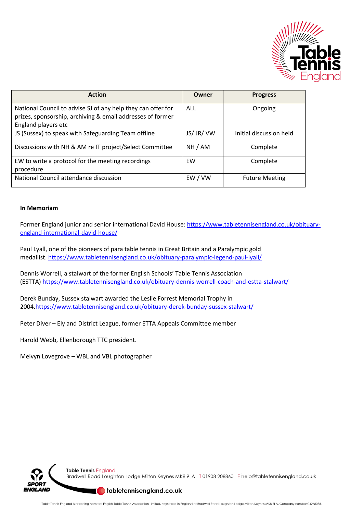

| <b>Action</b>                                                                                                              | Owner      | <b>Progress</b>         |
|----------------------------------------------------------------------------------------------------------------------------|------------|-------------------------|
| National Council to advise SJ of any help they can offer for<br>prizes, sponsorship, archiving & email addresses of former | ALL        | Ongoing                 |
| England players etc                                                                                                        |            |                         |
| JS (Sussex) to speak with Safeguarding Team offline                                                                        | JS/ JR/ VW | Initial discussion held |
| Discussions with NH & AM re IT project/Select Committee                                                                    | NH / AM    | Complete                |
| EW to write a protocol for the meeting recordings                                                                          | EW         | Complete                |
| procedure                                                                                                                  |            |                         |
| National Council attendance discussion                                                                                     | EW/VW      | <b>Future Meeting</b>   |

#### **In Memoriam**

Former England junior and senior international David House: [https://www.tabletennisengland.co.uk/obituary](https://protect-eu.mimecast.com/s/6S5HC5WKXix199Szf7HJ?domain=tabletennisengland.co.uk/)[england-international-david-house/](https://protect-eu.mimecast.com/s/6S5HC5WKXix199Szf7HJ?domain=tabletennisengland.co.uk/)

Paul Lyall, one of the pioneers of para table tennis in Great Britain and a Paralympic gold medallist. [https://www.tabletennisengland.co.uk/obituary-paralympic-legend-paul-lyall/](https://protect-eu.mimecast.com/s/ake9C60K4s1JmmT605Lq?domain=tabletennisengland.co.uk/)

Dennis Worrell, a stalwart of the former English Schools' Table Tennis Association (ESTTA) [https://www.tabletennisengland.co.uk/obituary-dennis-worrell-coach-and-estta-stalwart/](https://protect-eu.mimecast.com/s/TBwsC7AV2uQYNNTBHgd5?domain=tabletennisengland.co.uk/)

Derek Bunday, Sussex stalwart awarded the Leslie Forrest Memorial Trophy in 2004[.https://www.tabletennisengland.co.uk/obituary-derek-bunday-sussex-stalwart/](https://protect-eu.mimecast.com/s/KlvlC89K0IzgqqSMCRlL?domain=tabletennisengland.co.uk/)

Peter Diver – Ely and District League, former ETTA Appeals Committee member

Harold Webb, Ellenborough TTC president.

Melvyn Lovegrove – WBL and VBL photographer



**Table Tennis England** Bradwell Road Loughton Lodge Milton Keynes MK8 9LA T01908 208860 Ehelp@tabletennisengland.co.uk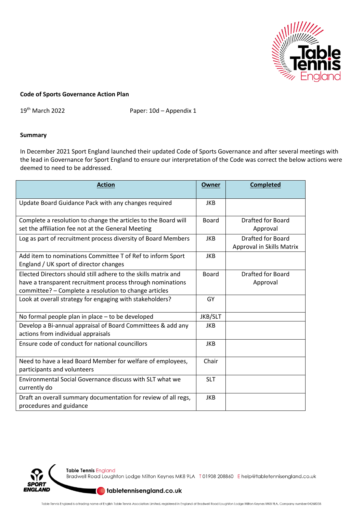

#### **Code of Sports Governance Action Plan**

19th March 2022 Paper: 10d – Appendix 1

#### **Summary**

In December 2021 Sport England launched their updated Code of Sports Governance and after several meetings with the lead in Governance for Sport England to ensure our interpretation of the Code was correct the below actions were deemed to need to be addressed.

| <b>Action</b>                                                                                                                                                                         | Owner        | <b>Completed</b>                                      |
|---------------------------------------------------------------------------------------------------------------------------------------------------------------------------------------|--------------|-------------------------------------------------------|
| Update Board Guidance Pack with any changes required                                                                                                                                  | <b>JKB</b>   |                                                       |
| Complete a resolution to change the articles to the Board will<br>set the affiliation fee not at the General Meeting                                                                  | <b>Board</b> | <b>Drafted for Board</b><br>Approval                  |
| Log as part of recruitment process diversity of Board Members                                                                                                                         | <b>JKB</b>   | <b>Drafted for Board</b><br>Approval in Skills Matrix |
| Add item to nominations Committee T of Ref to inform Sport<br>England / UK sport of director changes                                                                                  | <b>JKB</b>   |                                                       |
| Elected Directors should still adhere to the skills matrix and<br>have a transparent recruitment process through nominations<br>committee? - Complete a resolution to change articles | <b>Board</b> | <b>Drafted for Board</b><br>Approval                  |
| Look at overall strategy for engaging with stakeholders?                                                                                                                              | GY           |                                                       |
| No formal people plan in place - to be developed                                                                                                                                      | JKB/SLT      |                                                       |
| Develop a Bi-annual appraisal of Board Committees & add any<br>actions from individual appraisals                                                                                     | <b>JKB</b>   |                                                       |
| Ensure code of conduct for national councillors                                                                                                                                       | <b>JKB</b>   |                                                       |
| Need to have a lead Board Member for welfare of employees,<br>participants and volunteers                                                                                             | Chair        |                                                       |
| Environmental Social Governance discuss with SLT what we<br>currently do                                                                                                              | <b>SLT</b>   |                                                       |
| Draft an overall summary documentation for review of all regs,<br>procedures and guidance                                                                                             | <b>JKB</b>   |                                                       |

Table Tennis England

וסר **ENGLAND**  Bradwell Road Loughton Lodge Milton Keynes MK8 9LA T01908 208860 Ehelp@tabletennisengland.co.uk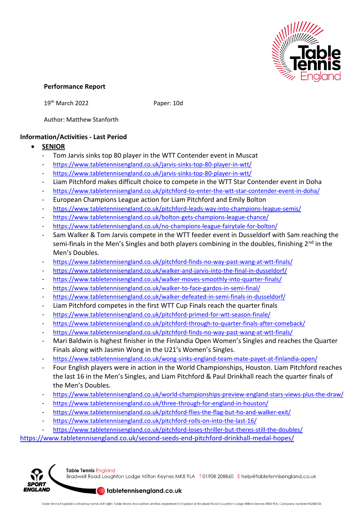

## **Performance Report**

19<sup>th</sup> March 2022 Paper: 10d

Author: Matthew Stanforth

## **Information/Activities - Last Period**

- **SENIOR**
	- Tom Jarvis sinks top 80 player in the WTT Contender event in Muscat
	- <https://www.tabletennisengland.co.uk/jarvis-sinks-top-80-player-in-wtt/>
	- <https://www.tabletennisengland.co.uk/jarvis-sinks-top-80-player-in-wtt/>
	- Liam Pitchford makes difficult choice to compete in the WTT Star Contender event in Doha
	- <https://www.tabletennisengland.co.uk/pitchford-to-enter-the-wtt-star-contender-event-in-doha/>
	- European Champions League action for Liam Pitchford and Emily Bolton
	- <https://www.tabletennisengland.co.uk/pitchford-leads-way-into-champions-league-semis/>
	- <https://www.tabletennisengland.co.uk/bolton-gets-champions-league-chance/>
	- <https://www.tabletennisengland.co.uk/no-champions-league-fairytale-for-bolton/>
	- Sam Walker & Tom Jarvis compete in the WTT feeder event in Dusseldorf with Sam reaching the semi-finals in the Men's Singles and both players combining in the doubles, finishing 2<sup>nd</sup> in the Men's Doubles.
	- <https://www.tabletennisengland.co.uk/pitchford-finds-no-way-past-wang-at-wtt-finals/>
	- <https://www.tabletennisengland.co.uk/walker-and-jarvis-into-the-final-in-dusseldorf/>
	- <https://www.tabletennisengland.co.uk/walker-moves-smoothly-into-quarter-finals/>
	- <https://www.tabletennisengland.co.uk/walker-to-face-gardos-in-semi-final/>
	- <https://www.tabletennisengland.co.uk/walker-defeated-in-semi-finals-in-dusseldorf/>
	- Liam Pitchford competes in the first WTT Cup Finals reach the quarter finals
	- <https://www.tabletennisengland.co.uk/pitchford-primed-for-wtt-season-finale/>
	- <https://www.tabletennisengland.co.uk/pitchford-through-to-quarter-finals-after-comeback/>
	- <https://www.tabletennisengland.co.uk/pitchford-finds-no-way-past-wang-at-wtt-finals/>
	- Mari Baldwin is highest finisher in the Finlandia Open Women's Singles and reaches the Quarter Finals along with Jasmin Wong in the U21's Women's Singles.
	- <https://www.tabletennisengland.co.uk/wong-sinks-england-team-mate-payet-at-finlandia-open/>
	- Four English players were in action in the World Championships, Houston. Liam Pitchford reaches the last 16 in the Men's Singles, and Liam Pitchford & Paul Drinkhall reach the quarter finals of the Men's Doubles.
	- <https://www.tabletennisengland.co.uk/world-championships-preview-england-stars-views-plus-the-draw/>
	- <https://www.tabletennisengland.co.uk/three-through-for-england-in-houston/>
	- <https://www.tabletennisengland.co.uk/pitchford-flies-the-flag-but-ho-and-walker-exit/>
	- <https://www.tabletennisengland.co.uk/pitchford-rolls-on-into-the-last-16/>
	- <https://www.tabletennisengland.co.uk/pitchford-loses-thriller-but-theres-still-the-doubles/>

<https://www.tabletennisengland.co.uk/second-seeds-end-pitchford-drinkhall-medal-hopes/>



**Table Tennis England** Bradwell Road Loughton Lodge Milton Keynes MK8 9LA T01908 208860 Ehelp@tabletennisengland.co.uk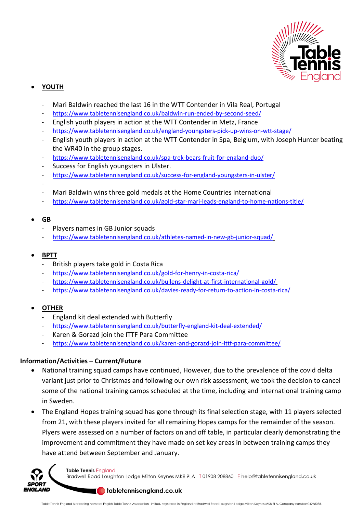

# • **YOUTH**

- Mari Baldwin reached the last 16 in the WTT Contender in Vila Real, Portugal
- <https://www.tabletennisengland.co.uk/baldwin-run-ended-by-second-seed/>
- English youth players in action at the WTT Contender in Metz, France
- <https://www.tabletennisengland.co.uk/england-youngsters-pick-up-wins-on-wtt-stage/>
- English youth players in action at the WTT Contender in Spa, Belgium, with Joseph Hunter beating the WR40 in the group stages.
- <https://www.tabletennisengland.co.uk/spa-trek-bears-fruit-for-england-duo/>
- Success for English youngsters in Ulster.
- <https://www.tabletennisengland.co.uk/success-for-england-youngsters-in-ulster/>
- -
- Mari Baldwin wins three gold medals at the Home Countries International
- <https://www.tabletennisengland.co.uk/gold-star-mari-leads-england-to-home-nations-title/>
- **GB**
	- Players names in GB Junior squads
	- <https://www.tabletennisengland.co.uk/athletes-named-in-new-gb-junior-squad/>
- **BPTT**
	- British players take gold in Costa Rica
	- <https://www.tabletennisengland.co.uk/gold-for-henry-in-costa-rica/>
	- <https://www.tabletennisengland.co.uk/bullens-delight-at-first-international-gold/>
	- <https://www.tabletennisengland.co.uk/davies-ready-for-return-to-action-in-costa-rica/>

# • **OTHER**

- England kit deal extended with Butterfly
- <https://www.tabletennisengland.co.uk/butterfly-england-kit-deal-extended/>
- Karen & Gorazd join the ITTF Para Committee
- <https://www.tabletennisengland.co.uk/karen-and-gorazd-join-ittf-para-committee/>

# **Information/Activities – Current/Future**

- National training squad camps have continued, However, due to the prevalence of the covid delta variant just prior to Christmas and following our own risk assessment, we took the decision to cancel some of the national training camps scheduled at the time, including and international training camp in Sweden.
- The England Hopes training squad has gone through its final selection stage, with 11 players selected from 21, with these players invited for all remaining Hopes camps for the remainder of the season. Plyers were assessed on a number of factors on and off table, in particular clearly demonstrating the improvement and commitment they have made on set key areas in between training camps they have attend between September and January.



**Table Tennis England** Bradwell Road Loughton Lodge Milton Keynes MK8 9LA T01908 208860 Ehelp@tabletennisengland.co.uk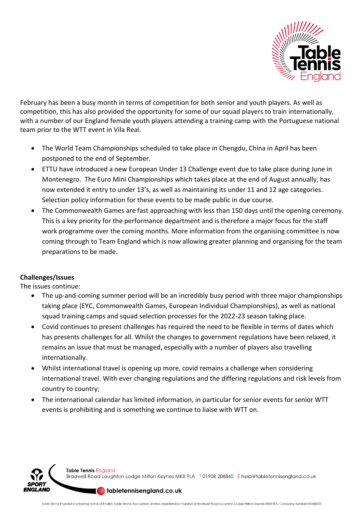

February has been a busy month in terms of competition for both senior and youth players. As well as competition, this has also provided the opportunity for some of our squad players to train internationally, with a number of our England female youth players attending a training camp with the Portuguese national team prior to the WTT event in Vila Real.

- The World Team Championships scheduled to take place in Chengdu, China in April has been postponed to the end of September.
- ETTU have introduced a new European Under 13 Challenge event due to take place during June in Montenegro. The Euro Mini Championships which takes place at the end of August annually, has now extended it entry to under 13's, as well as maintaining its under 11 and 12 age categories. Selection policy information for these events to be made public in due course.
- The Commonwealth Games are fast approaching with less than 150 days until the opening ceremony. This is a key priority for the performance department and is therefore a major focus for the staff work programme over the coming months. More information from the organising committee is now coming through to Team England which is now allowing greater planning and organising for the team preparations to be made.

## **Challenges/Issues**

The issues continue:

- The up-and-coming summer period will be an incredibly busy period with three major championships taking place (EYC, Commonwealth Games, European Individual Championships), as well as national squad training camps and squad selection processes for the 2022-23 season taking place.
- Covid continues to present challenges has required the need to be flexible in terms of dates which has presents challenges for all. Whilst the changes to government regulations have been relaxed, it remains an issue that must be managed, especially with a number of players also travelling internationally.
- Whilst international travel is opening up more, covid remains a challenge when considering international travel. With ever changing regulations and the differing regulations and risk levels from country to country;
- The international calendar has limited information, in particular for senior events for senior WTT events is prohibiting and is something we continue to liaise with WTT on.

Table Tennis England Bradwell Road Loughton Lodge Milton Keynes MK8 9LA T01908 208860 Ehelp@tabletennisengland.co.uk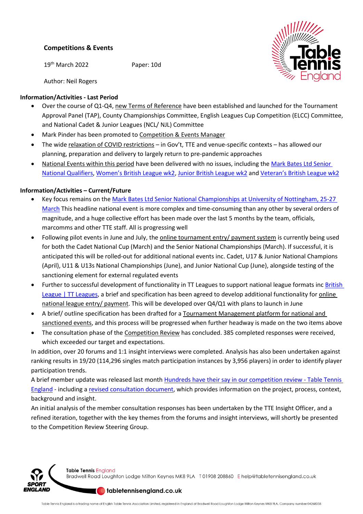## **Competitions & Events**

19th March 2022 Paper: 10d



Author: Neil Rogers

## **Information/Activities - Last Period**

- Over the course of Q1-Q4, new Terms of Reference have been established and launched for the Tournament Approval Panel (TAP), County Championships Committee, English Leagues Cup Competition (ELCC) Committee, and National Cadet & Junior Leagues (NCL/ NJL) Committee
- Mark Pinder has been promoted to Competition & Events Manager
- The wide relaxation of COVID restrictions in Gov't, TTE and venue-specific contexts has allowed our planning, preparation and delivery to largely return to pre-pandemic approaches
- National Events within this period have been delivered with no issues, including th[e Mark Bates Ltd Senior](https://www.tabletennisengland.co.uk/top-seeds-lead-the-qualifiers-for-nationals/)  [National Qualifiers,](https://www.tabletennisengland.co.uk/top-seeds-lead-the-qualifiers-for-nationals/) [Women's British League wk2](https://www.tabletennisengland.co.uk/peake-hits-the-heights-as-plymouth-claim-wbl-premier-title/), [Junior British League wk2](https://www.tabletennisengland.co.uk/wensum-and-draycott-are-impressive-jbl-champions/) and [Veteran's British League wk2](https://www.tabletennisengland.co.uk/perfect-weekend-for-team-bribar-as-vbl-returns/)

# **Information/Activities – Current/Future**

- Key focus remains on the [Mark Bates Ltd Senior National Championships at University of Nottingham, 25-27](https://www.tabletennisengland.co.uk/competitions/mark-bates-ltd-national-championships/senior-national-championships/)  [March](https://www.tabletennisengland.co.uk/competitions/mark-bates-ltd-national-championships/senior-national-championships/) This headline national event is more complex and time-consuming than any other by several orders of magnitude, and a huge collective effort has been made over the last 5 months by the team, officials, marcomms and other TTE staff. All is progressing well
- Following pilot events in June and July, the online tournament entry/ payment system is currently being used for both the Cadet National Cup (March) and the Senior National Championships (March). If successful, it is anticipated this will be rolled-out for additional national events inc. Cadet, U17 & Junior National Champions (April), U11 & U13s National Championships (June), and Junior National Cup (June), alongside testing of the sanctioning element for external regulated events
- Further to successful development of functionality in TT Leagues to support national league formats inc **British** [League | TT Leagues,](https://british.ttleagues.com/) a brief and specification has been agreed to develop additional functionality for online national league entry/ payment. This will be developed over Q4/Q1 with plans to launch in June
- A brief/ outline specification has been drafted for a Tournament Management platform for national and sanctioned events, and this process will be progressed when further headway is made on the two items above
- The consultation phase of the Competition Review has concluded. 385 completed responses were received, which exceeded our target and expectations.

In addition, over 20 forums and 1:1 insight interviews were completed. Analysis has also been undertaken against ranking results in 19/20 (114,296 singles match participation instances by 3,956 players) in order to identify player participation trends.

A brief member update was released last month [Hundreds have their say in our competition review -](https://www.tabletennisengland.co.uk/hundreds-have-their-say-in-our-competition-review/) Table Tennis [England](https://www.tabletennisengland.co.uk/hundreds-have-their-say-in-our-competition-review/) - including a [revised consultation document,](https://www.tabletennisengland.co.uk/content/uploads/2022/01/TTE-Competition-Review-consultation-document.pdf) which provides information on the project, process, context, background and insight.

An initial analysis of the member consultation responses has been undertaken by the TTE Insight Officer, and a refined iteration, together with the key themes from the forums and insight interviews, will shortly be presented to the Competition Review Steering Group.



Table Tennis England Bradwell Road Loughton Lodge Milton Keynes MK8 9LA T01908 208860 Ehelp@tabletennisengland.co.uk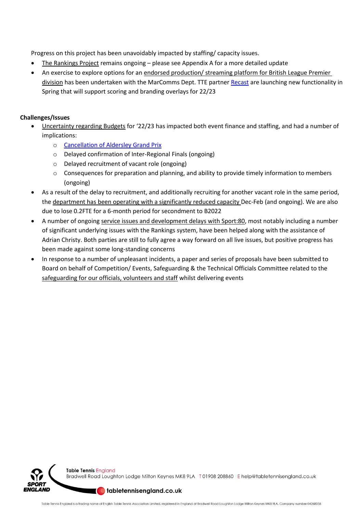Progress on this project has been unavoidably impacted by staffing/ capacity issues.

- The Rankings Project remains ongoing please see Appendix A for a more detailed update
- An exercise to explore options for an endorsed production/ streaming platform for British League Premier division has been undertaken with the MarComms Dept. TTE partner [Recast](https://the.recast.app/user/69b98) are launching new functionality in Spring that will support scoring and branding overlays for 22/23

## **Challenges/Issues**

- Uncertainty regarding Budgets for '22/23 has impacted both event finance and staffing, and had a number of implications:
	- o [Cancellation of Aldersley Grand Prix](https://www.tabletennisengland.co.uk/wolverhampton-grand-prix-cancelled/)
	- o Delayed confirmation of Inter-Regional Finals (ongoing)
	- o Delayed recruitment of vacant role (ongoing)
	- $\circ$  Consequences for preparation and planning, and ability to provide timely information to members (ongoing)
- As a result of the delay to recruitment, and additionally recruiting for another vacant role in the same period, the department has been operating with a significantly reduced capacity Dec-Feb (and ongoing). We are also due to lose 0.2FTE for a 6-month period for secondment to B2022
- A number of ongoing service issues and development delays with Sport:80, most notably including a number of significant underlying issues with the Rankings system, have been helped along with the assistance of Adrian Christy. Both parties are still to fully agree a way forward on all live issues, but positive progress has been made against some long-standing concerns
- In response to a number of unpleasant incidents, a paper and series of proposals have been submitted to Board on behalf of Competition/ Events, Safeguarding & the Technical Officials Committee related to the safeguarding for our officials, volunteers and staff whilst delivering events



Bradwell Road Loughton Lodge Milton Keynes MK8 9LA T01908 208860 Ehelp@tabletennisengland.co.uk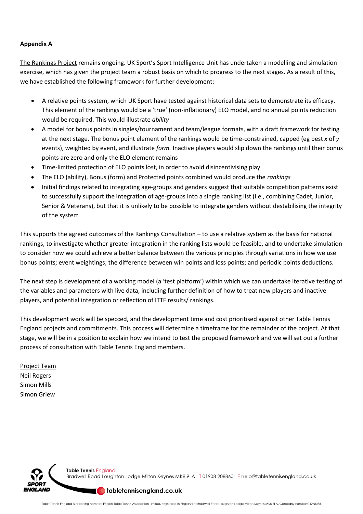### **Appendix A**

The Rankings Project remains ongoing. UK Sport's Sport Intelligence Unit has undertaken a modelling and simulation exercise, which has given the project team a robust basis on which to progress to the next stages. As a result of this, we have established the following framework for further development:

- A relative points system, which UK Sport have tested against historical data sets to demonstrate its efficacy. This element of the rankings would be a 'true' (non-inflationary) ELO model, and no annual points reduction would be required. This would illustrate *ability*
- A model for bonus points in singles/tournament and team/league formats, with a draft framework for testing at the next stage. The bonus point element of the rankings would be time-constrained, capped (eg best *x* of *y* events), weighted by event, and illustrate *form.* Inactive players would slip down the rankings until their bonus points are zero and only the ELO element remains
- Time-limited protection of ELO points lost, in order to avoid disincentivising play
- The ELO (ability), Bonus (form) and Protected points combined would produce the *rankings*
- Initial findings related to integrating age-groups and genders suggest that suitable competition patterns exist to successfully support the integration of age-groups into a single ranking list (i.e., combining Cadet, Junior, Senior & Veterans), but that it is unlikely to be possible to integrate genders without destabilising the integrity of the system

This supports the agreed outcomes of the Rankings Consultation – to use a relative system as the basis for national rankings, to investigate whether greater integration in the ranking lists would be feasible, and to undertake simulation to consider how we could achieve a better balance between the various principles through variations in how we use bonus points; event weightings; the difference between win points and loss points; and periodic points deductions.

The next step is development of a working model (a 'test platform') within which we can undertake iterative testing of the variables and parameters with live data, including further definition of how to treat new players and inactive players, and potential integration or reflection of ITTF results/ rankings.

This development work will be specced, and the development time and cost prioritised against other Table Tennis England projects and commitments. This process will determine a timeframe for the remainder of the project. At that stage, we will be in a position to explain how we intend to test the proposed framework and we will set out a further process of consultation with Table Tennis England members.

Project Team Neil Rogers Simon Mills Simon Griew

I AND

Table Tennis England Bradwell Road Loughton Lodge Milton Keynes MK8 9LA T01908 208860 E help@tabletennisengland.co.uk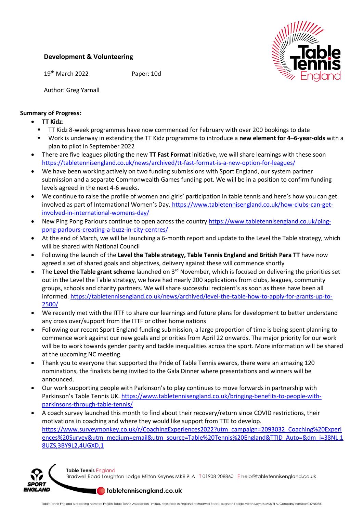## **Development & Volunteering**

19th March 2022 Paper: 10d



Author: Greg Yarnall

## **Summary of Progress:**

- **TT Kidz**:
- TT Kidz 8-week programmes have now commenced for February with over 200 bookings to date
- Work is underway in extending the TT Kidz programme to introduce a **new element for 4–6-year-olds** with a plan to pilot in September 2022
- There are five leagues piloting the new **TT Fast Format** initiative, we will share learnings with these soon <https://tabletennisengland.co.uk/news/archived/tt-fast-format-is-a-new-option-for-leagues/>
- We have been working actively on two funding submissions with Sport England, our system partner submission and a separate Commonwealth Games funding pot. We will be in a position to confirm funding levels agreed in the next 4-6 weeks.
- We continue to raise the profile of women and girls' participation in table tennis and here's how you can get involved as part of International Women's Day. [https://www.tabletennisengland.co.uk/how-clubs-can-get](https://www.tabletennisengland.co.uk/how-clubs-can-get-involved-in-international-womens-day/)[involved-in-international-womens-day/](https://www.tabletennisengland.co.uk/how-clubs-can-get-involved-in-international-womens-day/)
- New Ping Pong Parlours continue to open across the country [https://www.tabletennisengland.co.uk/ping](https://www.tabletennisengland.co.uk/ping-pong-parlours-creating-a-buzz-in-city-centres/)[pong-parlours-creating-a-buzz-in-city-centres/](https://www.tabletennisengland.co.uk/ping-pong-parlours-creating-a-buzz-in-city-centres/)
- At the end of March, we will be launching a 6-month report and update to the Level the Table strategy, which will be shared with National Council
- Following the launch of the **Level the Table strategy, Table Tennis England and British Para TT** have now agreed a set of shared goals and objectives, delivery against these will commence shortly
- The Level the Table grant scheme launched on 3<sup>rd</sup> November, which is focused on delivering the priorities set out in the Level the Table strategy, we have had nearly 200 applications from clubs, leagues, community groups, schools and charity partners. We will share successful recipient's as soon as these have been all informed. [https://tabletennisengland.co.uk/news/archived/level-the-table-how-to-apply-for-grants-up-to-](https://tabletennisengland.co.uk/news/archived/level-the-table-how-to-apply-for-grants-up-to-2500/)[2500/](https://tabletennisengland.co.uk/news/archived/level-the-table-how-to-apply-for-grants-up-to-2500/)
- We recently met with the ITTF to share our learnings and future plans for development to better understand any cross over/support from the ITTF or other home nations
- Following our recent Sport England funding submission, a large proportion of time is being spent planning to commence work against our new goals and priorities from April 22 onwards. The major priority for our work will be to work towards gender parity and tackle inequalities across the sport. More information will be shared at the upcoming NC meeting.
- Thank you to everyone that supported the Pride of Table Tennis awards, there were an amazing 120 nominations, the finalists being invited to the Gala Dinner where presentations and winners will be announced.
- Our work supporting people with Parkinson's to play continues to move forwards in partnership with Parkinson's Table Tennis UK. [https://www.tabletennisengland.co.uk/bringing-benefits-to-people-with](https://www.tabletennisengland.co.uk/bringing-benefits-to-people-with-parkinsons-through-table-tennis/)[parkinsons-through-table-tennis/](https://www.tabletennisengland.co.uk/bringing-benefits-to-people-with-parkinsons-through-table-tennis/)
- A coach survey launched this month to find about their recovery/return since COVID restrictions, their motivations in coaching and where they would like support from TTE to develop. [https://www.surveymonkey.co.uk/r/CoachingExperiences2022?utm\\_campaign=2093032\\_Coaching%20Experi](https://www.surveymonkey.co.uk/r/CoachingExperiences2022?utm_campaign=2093032_Coaching%20Experiences%20Survey&utm_medium=email&utm_source=Table%20Tennis%20England&TTID_Auto=&dm_i=38NL,18UZS,3BY9L2,4UGXD,1) [ences%20Survey&utm\\_medium=email&utm\\_source=Table%20Tennis%20England&TTID\\_Auto=&dm\\_i=38NL,1](https://www.surveymonkey.co.uk/r/CoachingExperiences2022?utm_campaign=2093032_Coaching%20Experiences%20Survey&utm_medium=email&utm_source=Table%20Tennis%20England&TTID_Auto=&dm_i=38NL,18UZS,3BY9L2,4UGXD,1) [8UZS,3BY9L2,4UGXD,1](https://www.surveymonkey.co.uk/r/CoachingExperiences2022?utm_campaign=2093032_Coaching%20Experiences%20Survey&utm_medium=email&utm_source=Table%20Tennis%20England&TTID_Auto=&dm_i=38NL,18UZS,3BY9L2,4UGXD,1)



Table Tennis England Bradwell Road Loughton Lodge Milton Keynes MK8 9LA T01908 208860 E help@tabletennisengland.co.uk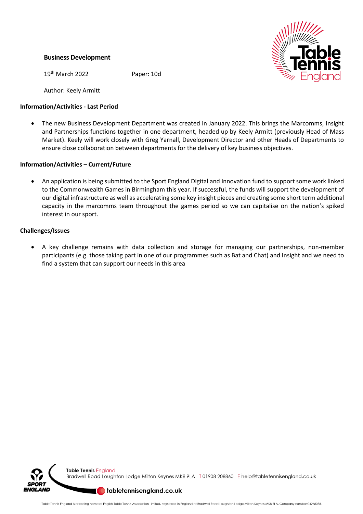## **Business Development**

19th March 2022 Paper: 10d

Author: Keely Armitt

## **Information/Activities - Last Period**

• The new Business Development Department was created in January 2022. This brings the Marcomms, Insight and Partnerships functions together in one department, headed up by Keely Armitt (previously Head of Mass Market). Keely will work closely with Greg Yarnall, Development Director and other Heads of Departments to ensure close collaboration between departments for the delivery of key business objectives.

## **Information/Activities – Current/Future**

• An application is being submitted to the Sport England Digital and Innovation fund to support some work linked to the Commonwealth Games in Birmingham this year. If successful, the funds will support the development of our digital infrastructure as well as accelerating some key insight pieces and creating some short term additional capacity in the marcomms team throughout the games period so we can capitalise on the nation's spiked interest in our sport.

### **Challenges/Issues**

• A key challenge remains with data collection and storage for managing our partnerships, non-member participants (e.g. those taking part in one of our programmes such as Bat and Chat) and Insight and we need to find a system that can support our needs in this area





Bradwell Road Loughton Lodge Milton Keynes MK8 9LA T01908 208860 Ehelp@tabletennisengland.co.uk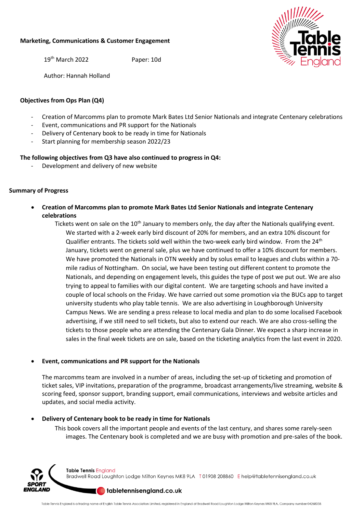#### **Marketing, Communications & Customer Engagement**

19th March 2022 Paper: 10d



Author: Hannah Holland

### **Objectives from Ops Plan (Q4)**

- Creation of Marcomms plan to promote Mark Bates Ltd Senior Nationals and integrate Centenary celebrations
- Event, communications and PR support for the Nationals
- Delivery of Centenary book to be ready in time for Nationals
- Start planning for membership season 2022/23

### **The following objectives from Q3 have also continued to progress in Q4:**

Development and delivery of new website

### **Summary of Progress**

• **Creation of Marcomms plan to promote Mark Bates Ltd Senior Nationals and integrate Centenary celebrations**

Tickets went on sale on the 10<sup>th</sup> January to members only, the day after the Nationals qualifying event. We started with a 2-week early bird discount of 20% for members, and an extra 10% discount for Qualifier entrants. The tickets sold well within the two-week early bird window. From the  $24<sup>th</sup>$ January, tickets went on general sale, plus we have continued to offer a 10% discount for members. We have promoted the Nationals in OTN weekly and by solus email to leagues and clubs within a 70 mile radius of Nottingham. On social, we have been testing out different content to promote the Nationals, and depending on engagement levels, this guides the type of post we put out. We are also trying to appeal to families with our digital content. We are targeting schools and have invited a couple of local schools on the Friday. We have carried out some promotion via the BUCs app to target university students who play table tennis. We are also advertising in Loughborough University Campus News. We are sending a press release to local media and plan to do some localised Facebook advertising, if we still need to sell tickets, but also to extend our reach. We are also cross-selling the tickets to those people who are attending the Centenary Gala Dinner. We expect a sharp increase in sales in the final week tickets are on sale, based on the ticketing analytics from the last event in 2020.

#### • **Event, communications and PR support for the Nationals**

The marcomms team are involved in a number of areas, including the set-up of ticketing and promotion of ticket sales, VIP invitations, preparation of the programme, broadcast arrangements/live streaming, website & scoring feed, sponsor support, branding support, email communications, interviews and website articles and updates, and social media activity.

#### • **Delivery of Centenary book to be ready in time for Nationals**

This book covers all the important people and events of the last century, and shares some rarely-seen images. The Centenary book is completed and we are busy with promotion and pre-sales of the book.



Table Tennis England Bradwell Road Loughton Lodge Milton Keynes MK8 9LA T01908 208860 Ehelp@tabletennisengland.co.uk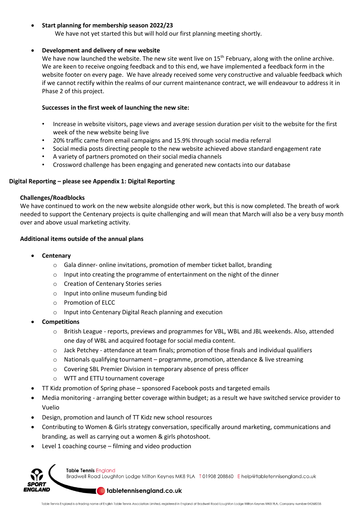### • **Start planning for membership season 2022/23**

We have not yet started this but will hold our first planning meeting shortly.

#### • **Development and delivery of new website**

We have now launched the website. The new site went live on 15<sup>th</sup> February, along with the online archive. We are keen to receive ongoing feedback and to this end, we have implemented a feedback form in the website footer on every page. We have already received some very constructive and valuable feedback which if we cannot rectify within the realms of our current maintenance contract, we will endeavour to address it in Phase 2 of this project.

#### **Successes in the first week of launching the new site:**

- Increase in website visitors, page views and average session duration per visit to the website for the first week of the new website being live
- 20% traffic came from email campaigns and 15.9% through social media referral
- Social media posts directing people to the new website achieved above standard engagement rate
- A variety of partners promoted on their social media channels
- Crossword challenge has been engaging and generated new contacts into our database

#### **Digital Reporting – please see Appendix 1: Digital Reporting**

#### **Challenges/Roadblocks**

We have continued to work on the new website alongside other work, but this is now completed. The breath of work needed to support the Centenary projects is quite challenging and will mean that March will also be a very busy month over and above usual marketing activity.

#### **Additional items outside of the annual plans**

- **Centenary**
	- $\circ$  Gala dinner- online invitations, promotion of member ticket ballot, branding
	- o Input into creating the programme of entertainment on the night of the dinner
	- o Creation of Centenary Stories series
	- o Input into online museum funding bid
	- o Promotion of ELCC
	- o Input into Centenary Digital Reach planning and execution
- **Competitions**
	- o British League reports, previews and programmes for VBL, WBL and JBL weekends. Also, attended one day of WBL and acquired footage for social media content.
	- o Jack Petchey attendance at team finals; promotion of those finals and individual qualifiers
	- $\circ$  Nationals qualifying tournament programme, promotion, attendance & live streaming
	- o Covering SBL Premier Division in temporary absence of press officer
	- o WTT and ETTU tournament coverage
- TT Kidz promotion of Spring phase sponsored Facebook posts and targeted emails
- Media monitoring arranging better coverage within budget; as a result we have switched service provider to Vuelio
- Design, promotion and launch of TT Kidz new school resources
- Contributing to Women & Girls strategy conversation, specifically around marketing, communications and branding, as well as carrying out a women & girls photoshoot.
- Level 1 coaching course filming and video production



**Table Tennis England** Bradwell Road Loughton Lodge Milton Keynes MK8 9LA T01908 208860 E help@tabletennisengland.co.uk

#### $\blacksquare$  tabletennisengland.co.uk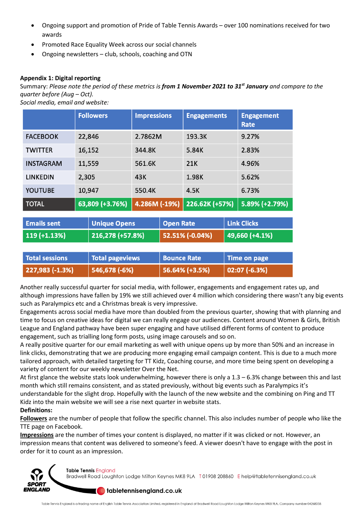- Ongoing support and promotion of Pride of Table Tennis Awards over 100 nominations received for two awards
- Promoted Race Equality Week across our social channels
- Ongoing newsletters club, schools, coaching and OTN

## **Appendix 1: Digital reporting**

Summary: *Please note the period of these metrics is from 1 November 2021 to 31 st January and compare to the quarter before (Aug – Oct).*

*Social media, email and website:*

|                  | <b>Followers</b> | <b>Impressions</b> | <b>Engagements</b> | <b>Engagement</b><br><b>Rate</b> |
|------------------|------------------|--------------------|--------------------|----------------------------------|
| <b>FACEBOOK</b>  | 22,846           | 2.7862M            | 193.3K             | 9.27%                            |
| <b>TWITTER</b>   | 16,152           | 344.8K             | 5.84K              | 2.83%                            |
| <b>INSTAGRAM</b> | 11,559           | 561.6K             | <b>21K</b>         | 4.96%                            |
| <b>LINKEDIN</b>  | 2,305            | 43K                | 1.98K              | 5.62%                            |
| <b>YOUTUBE</b>   | 10,947           | 550.4K             | 4.5K               | 6.73%                            |
| <b>TOTAL</b>     | 63,809 (+3.76%)  | 4.286M (-19%)      | 226.62K (+57%)     | $5.89\%$ (+2.79%)                |

| <b>Emails sent</b>    | <b>Unique Opens</b>    | <b>Open Rate</b>   | <b>Link Clicks</b> |
|-----------------------|------------------------|--------------------|--------------------|
| $119 (+1.13%)$        | 216,278 (+57.8%)       | 52.51% (-0.04%)    | 49,660 (+4.1%)     |
|                       |                        |                    |                    |
| <b>Total sessions</b> | <b>Total pageviews</b> | <b>Bounce Rate</b> | Time on page       |
| $227,983$ (-1.3%)     | 546,678 (-6%)          | 56.64% (+3.5%)     | $02:07(-6.3%)$     |

Another really successful quarter for social media, with follower, engagements and engagement rates up, and although impressions have fallen by 19% we still achieved over 4 million which considering there wasn't any big events such as Paralympics etc and a Christmas break is very impressive.

Engagements across social media have more than doubled from the previous quarter, showing that with planning and time to focus on creative ideas for digital we can really engage our audiences. Content around Women & Girls, British League and England pathway have been super engaging and have utilised different forms of content to produce engagement, such as trialling long form posts, using image carousels and so on.

A really positive quarter for our email marketing as well with unique opens up by more than 50% and an increase in link clicks, demonstrating that we are producing more engaging email campaign content. This is due to a much more tailored approach, with detailed targeting for TT Kidz, Coaching course, and more time being spent on developing a variety of content for our weekly newsletter Over the Net.

At first glance the website stats look underwhelming, however there is only a 1.3 – 6.3% change between this and last month which still remains consistent, and as stated previously, without big events such as Paralympics it's understandable for the slight drop. Hopefully with the launch of the new website and the combining on Ping and TT Kidz into the main website we will see a rise next quarter in website stats. **Definitions:** 

**Followers** are the number of people that follow the specific channel. This also includes number of people who like the TTE page on Facebook.

**Impressions** are the number of times your content is displayed, no matter if it was clicked or not. However, an impression means that content was delivered to someone's feed. A viewer doesn't have to engage with the post in order for it to count as an impression.



**Table Tennis England** Bradwell Road Loughton Lodge Milton Keynes MK8 9LA T01908 208860 E help@tabletennisengland.co.uk